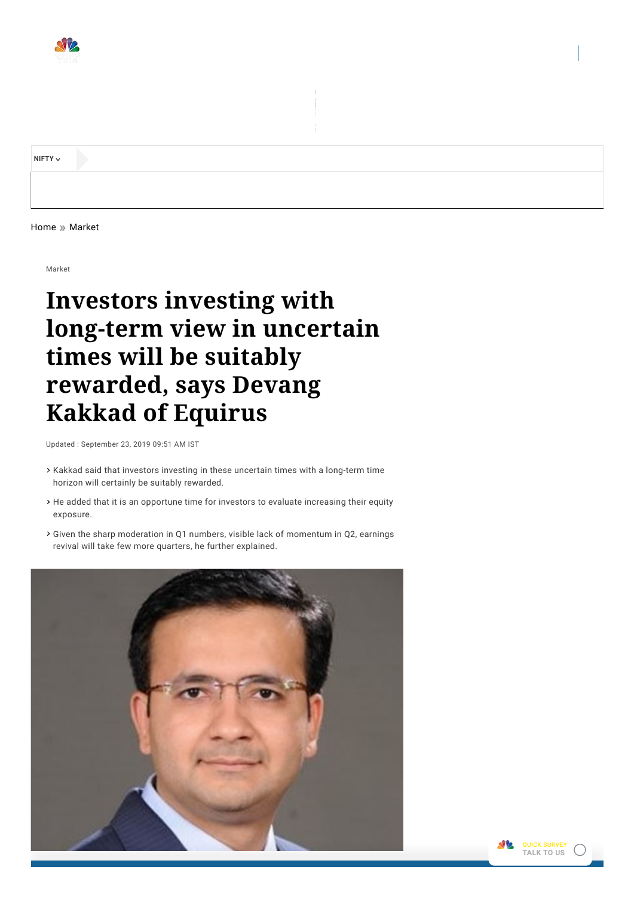

**[NIFTY](javascript:toggleDiv()**

[Home](http://www.cnbctv18.com/) » [Market](http://www.cnbctv18.com/market)

Market

# **Investors investing with long-term view in uncertain times will be suitably rewarded, says Devang Kakkad of Equirus**

Updated : September 23, 2019 09:51 AM IST

- Kakkad said that investors investing in these uncertain times with a long-term time horizon will certainly be suitably rewarded.
- He added that it is an opportune time for investors to evaluate increasing their equity exposure.
- Given the sharp moderation in Q1 numbers, visible lack of momentum in Q2, earnings revival will take few more quarters, he further explained.



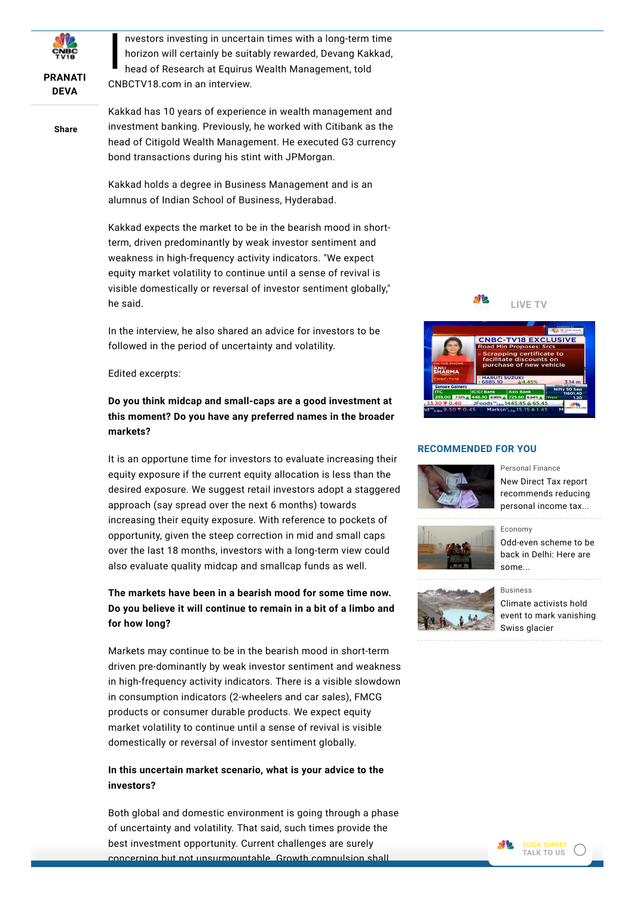

#### **[PRANATI](https://www.cnbctv18.com/author/pranati-deva-3021/) DEVA**

**Share**

 $\begin{bmatrix} n \\ h \\ h \end{bmatrix}$ nvestors investing in uncertain times with a long-term time horizon will certainly be suitably rewarded, Devang Kakkad, head of Research at Equirus Wealth Management, told CNBCTV18.com in an interview.

Kakkad has 10 years of experience in wealth management and investment banking. Previously, he worked with Citibank as the head of Citigold Wealth Management. He executed G3 currency bond transactions during his stint with JPMorgan.

Kakkad holds a degree in Business Management and is an alumnus of Indian School of Business, Hyderabad.

Kakkad expects the market to be in the bearish mood in shortterm, driven predominantly by weak investor sentiment and weakness in high-frequency activity indicators. "We expect equity market volatility to continue until a sense of revival is visible domestically or reversal of investor sentiment globally," he said.

In the interview, he also shared an advice for investors to be followed in the period of uncertainty and volatility.

Edited excerpts:

## **Do you think midcap and small-caps are a good investment at this moment? Do you have any preferred names in the broader markets?**

It is an opportune time for investors to evaluate increasing their equity exposure if the current equity allocation is less than the desired exposure. We suggest retail investors adopt a staggered approach (say spread over the next 6 months) towards increasing their equity exposure. With reference to pockets of opportunity, given the steep correction in mid and small caps over the last 18 months, investors with a long-term view could also evaluate quality midcap and smallcap funds as well.

## **The markets have been in a bearish mood for some time now. Do you believe it will continue to remain in a bit of a limbo and for how long?**

Markets may continue to be in the bearish mood in short-term driven pre-dominantly by weak investor sentiment and weakness in high-frequency activity indicators. There is a visible slowdown in consumption indicators (2-wheelers and car sales), FMCG products or consumer durable products. We expect equity market volatility to continue until a sense of revival is visible domestically or reversal of investor sentiment globally.

#### **In this uncertain market scenario, what is your advice to the investors?**

Both global and domestic environment is going through a phase of uncertainty and volatility. That said, such times provide the best investment opportunity. Current challenges are surely concerning but not unsurmountable. Growth compulsion shall



#### **RECOMMENDED FOR YOU**



[Personal](https://www.cnbctv18.com/personal-finance) Finance

New Direct Tax report [recommends](https://www.cnbctv18.com/personal-finance/new-direct-tax-report-recommends-reducing-personal-income-tax-to-spur-demand-4399411.htm) reducing personal income tax...



[Economy](https://www.cnbctv18.com/economy) [Odd-even](https://www.cnbctv18.com/auto/odd-even-scheme-to-be-back-in-delhi-here-are-some-ride-sharing-apps-that-will-come-in-handy-4399711.htm) scheme to be back in Delhi: Here are some...



#### [Business](https://www.cnbctv18.com/business) Climate activists hold event to mark [vanishing](https://www.cnbctv18.com/buzz/climate-activists-hold-event-to-mark-vanishing-swiss-glacier-4399471.htm) Swiss glacier

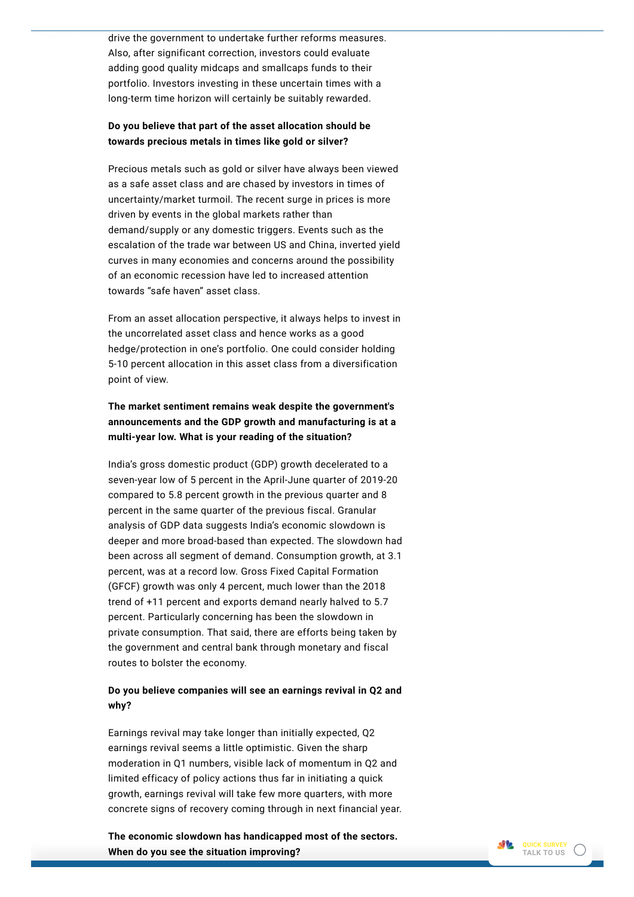drive the government to undertake further reforms measures. Also, after significant correction, investors could evaluate adding good quality midcaps and smallcaps funds to their portfolio. Investors investing in these uncertain times with a long-term time horizon will certainly be suitably rewarded.

#### **Do you believe that part of the asset allocation should be towards precious metals in times like gold or silver?**

Precious metals such as gold or silver have always been viewed as a safe asset class and are chased by investors in times of uncertainty/market turmoil. The recent surge in prices is more driven by events in the global markets rather than demand/supply or any domestic triggers. Events such as the escalation of the trade war between US and China, inverted yield curves in many economies and concerns around the possibility of an economic recession have led to increased attention towards "safe haven" asset class.

From an asset allocation perspective, it always helps to invest in the uncorrelated asset class and hence works as a good hedge/protection in one's portfolio. One could consider holding 5-10 percent allocation in this asset class from a diversification point of view.

#### **The market sentiment remains weak despite the government's announcements and the GDP growth and manufacturing is at a multi-year low. What is your reading of the situation?**

India's gross domestic product (GDP) growth decelerated to a seven-year low of 5 percent in the April-June quarter of 2019-20 compared to 5.8 percent growth in the previous quarter and 8 percent in the same quarter of the previous fiscal. Granular analysis of GDP data suggests India's economic slowdown is deeper and more broad-based than expected. The slowdown had been across all segment of demand. Consumption growth, at 3.1 percent, was at a record low. Gross Fixed Capital Formation (GFCF) growth was only 4 percent, much lower than the 2018 trend of +11 percent and exports demand nearly halved to 5.7 percent. Particularly concerning has been the slowdown in private consumption. That said, there are efforts being taken by the government and central bank through monetary and fiscal routes to bolster the economy.

#### **Do you believe companies will see an earnings revival in Q2 and why?**

Earnings revival may take longer than initially expected, Q2 earnings revival seems a little optimistic. Given the sharp moderation in Q1 numbers, visible lack of momentum in Q2 and limited efficacy of policy actions thus far in initiating a quick growth, earnings revival will take few more quarters, with more concrete signs of recovery coming through in next financial year.

**The economic slowdown has handicapped most of the sectors. When do you see the situation improving?**